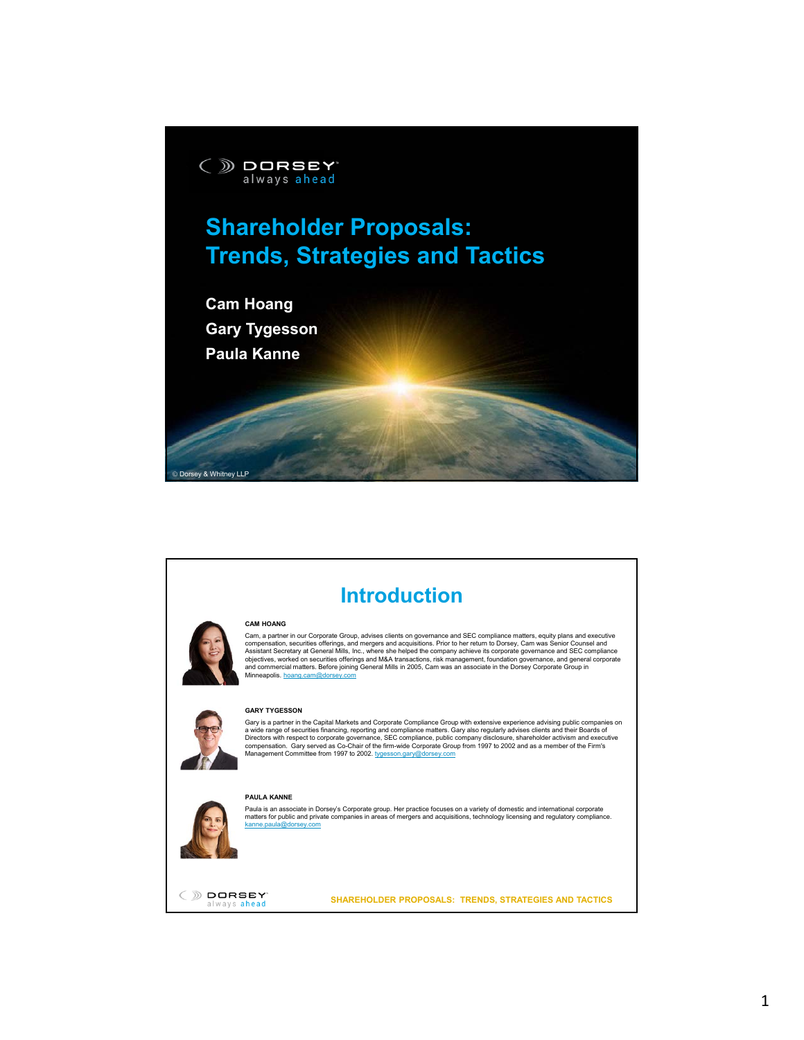



## **Introduction**

## **CAM HOANG**

Cam, a partner in our Corporate Group, advises clients on governance and SEC compliance matters, equity plans and executive compensation, securities offerings, and mergers and acquisitions. Prior to her return to Dorsey, Cam was Senior Counsel and<br>Assistant Secretary at General Mills, Inc., where she helped the company achieve its corporate gov



## **GARY TYGESSON**

Gary is a partner in the Capital Markets and Corporate Compliance Group with extensive experience advising public companies on a wide range of securities financing, reporting and compliance matters. Gary also regularly advises clients and their Boards of<br>Directors with respect to corporate governance, SEC compliance, public company disclosure, sha Management Committee from 1997 to 2002. tygesson.gary@dorsey.com

## **PAULA KANNE**



Paula is an associate in Dorsey's Corporate group. Her practice focuses on a variety of domestic and international corporate<br>matters for public and private companies in areas of mergers and acquisitions, technology licensi kanne.paula@dorsey.com



**SHAREHOLDER PROPOSALS: TRENDS, STRATEGIES AND TACTICS**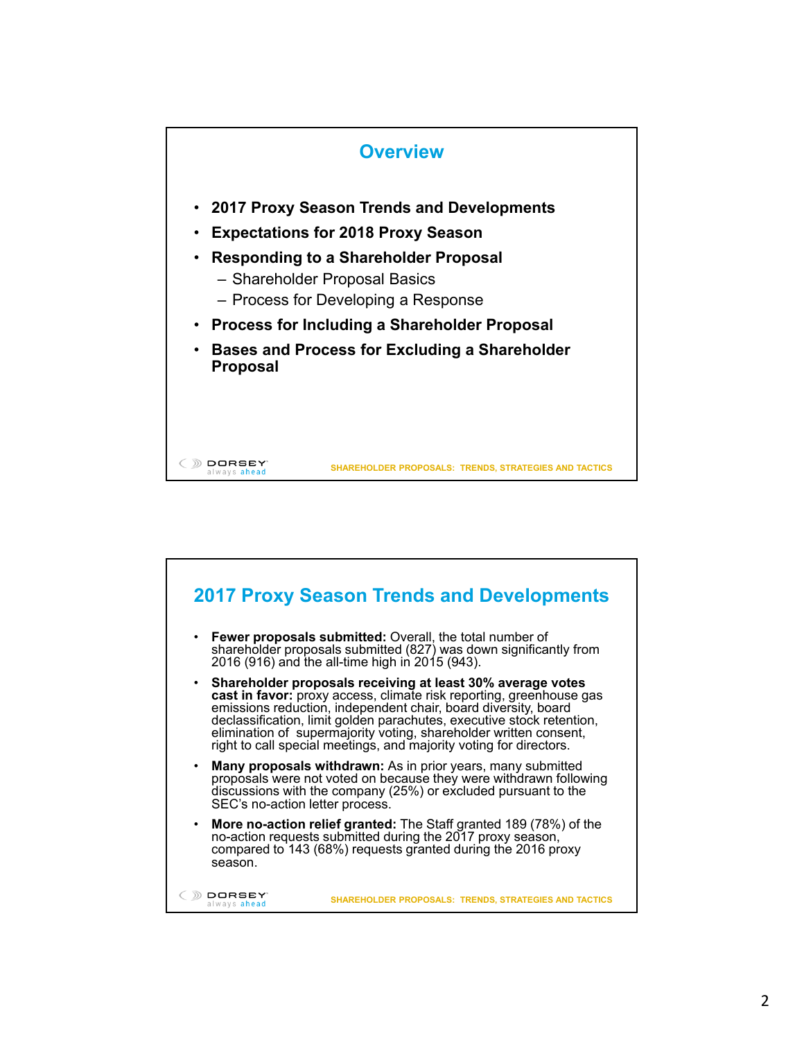

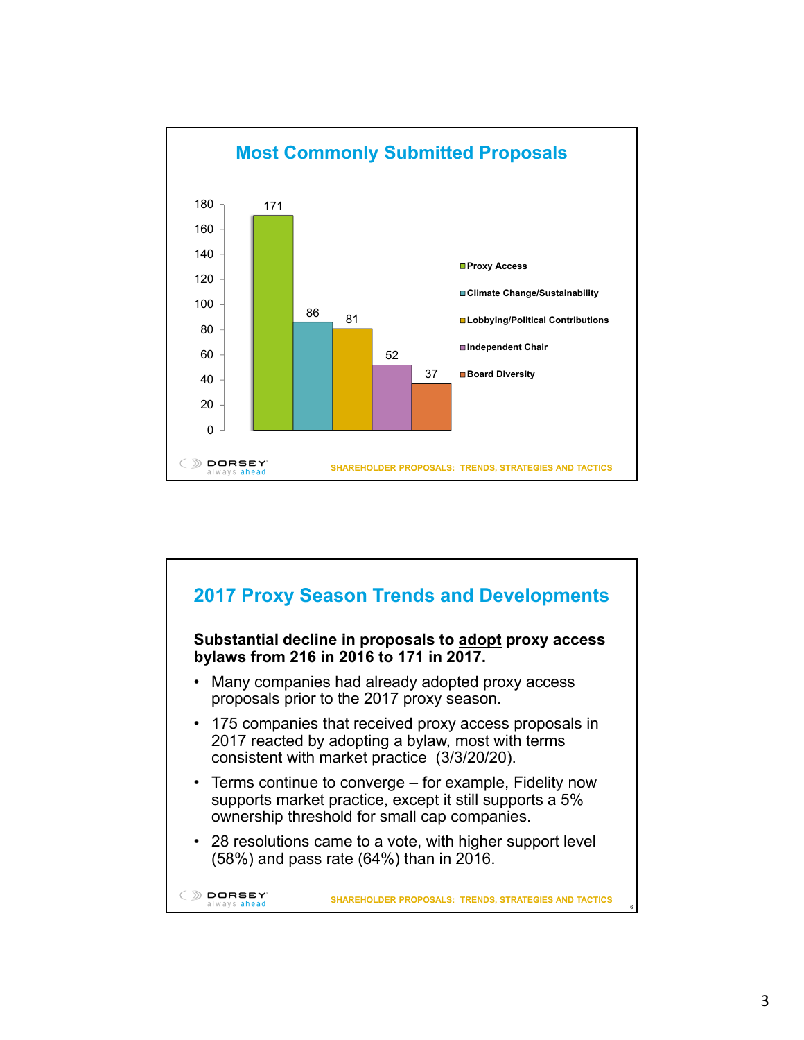

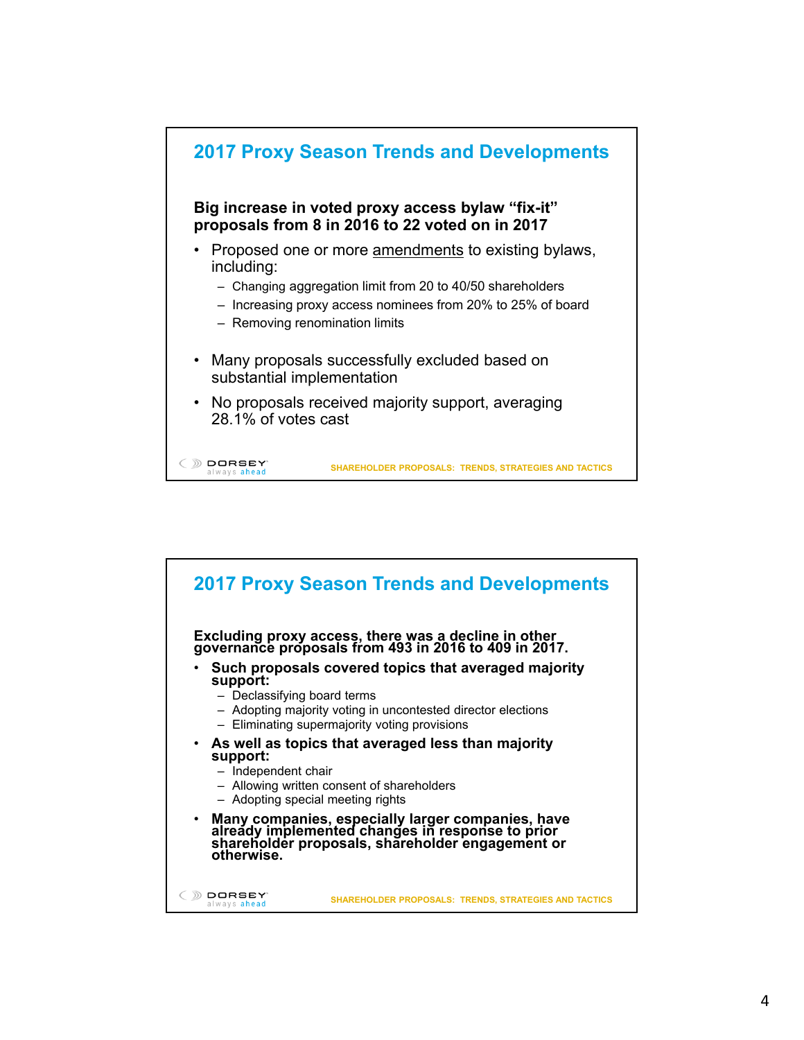

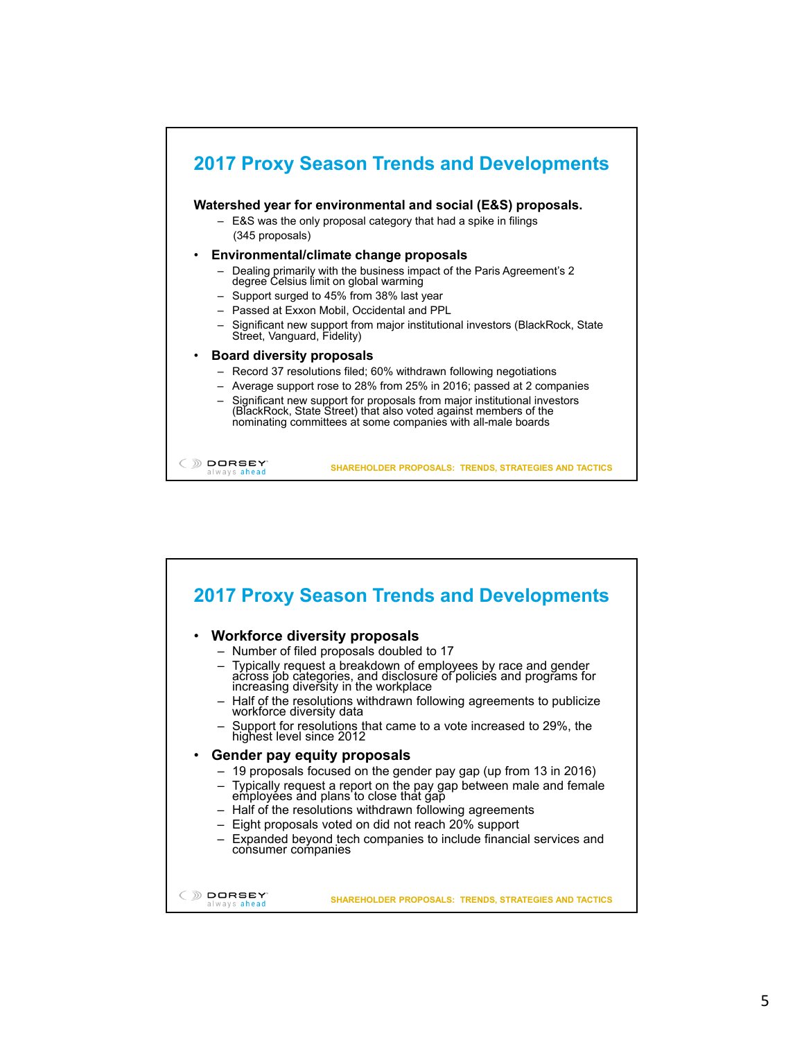

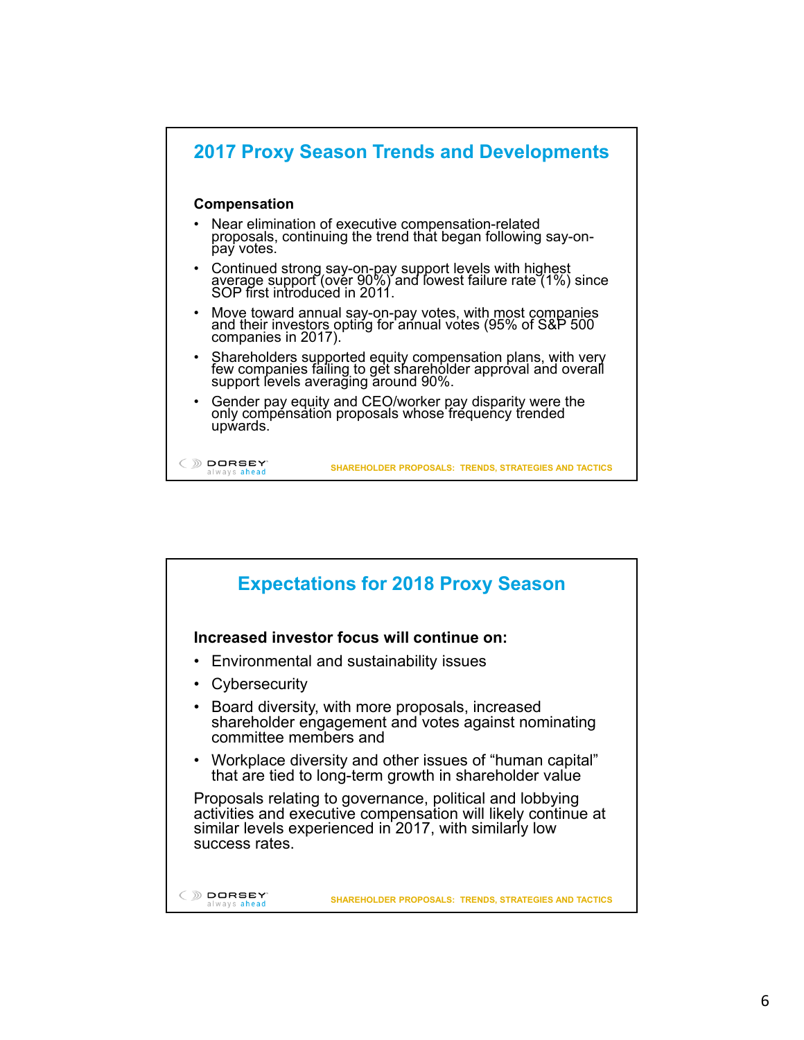

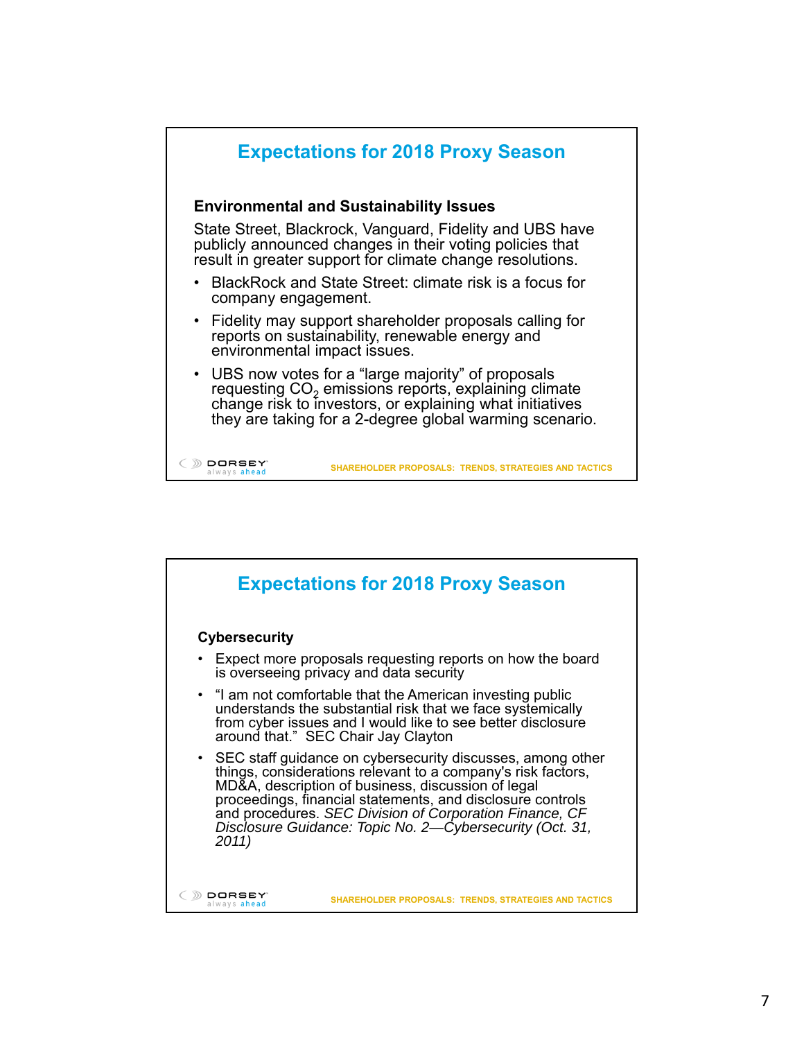

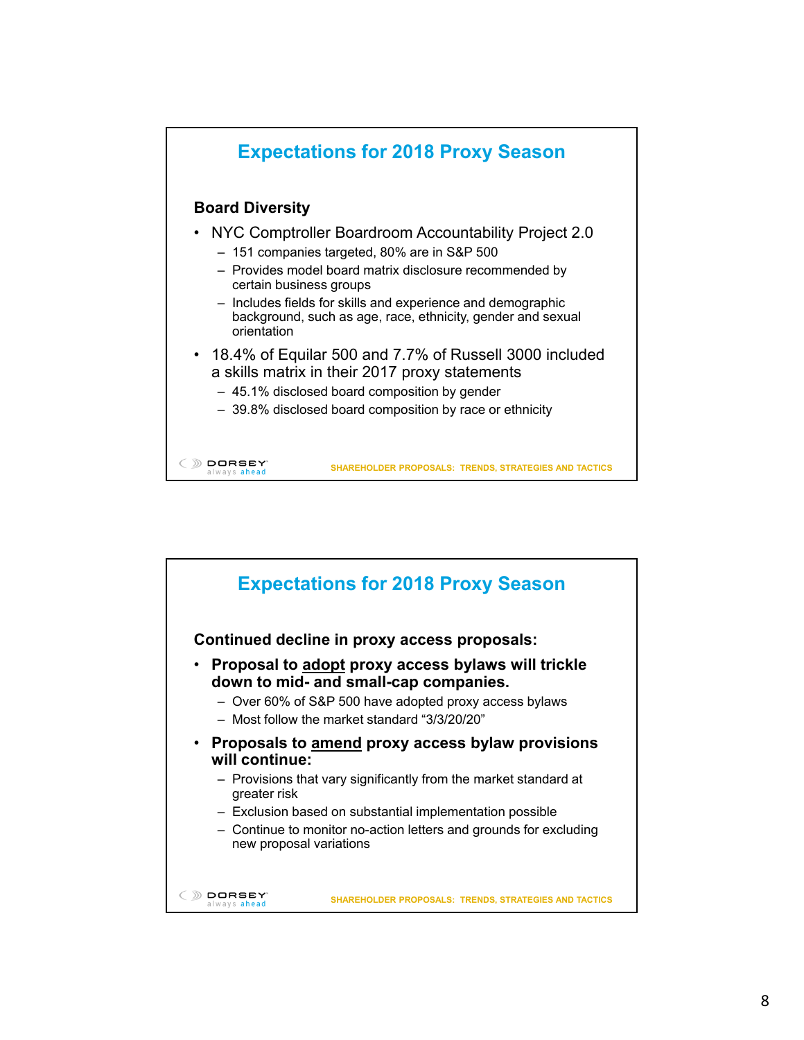

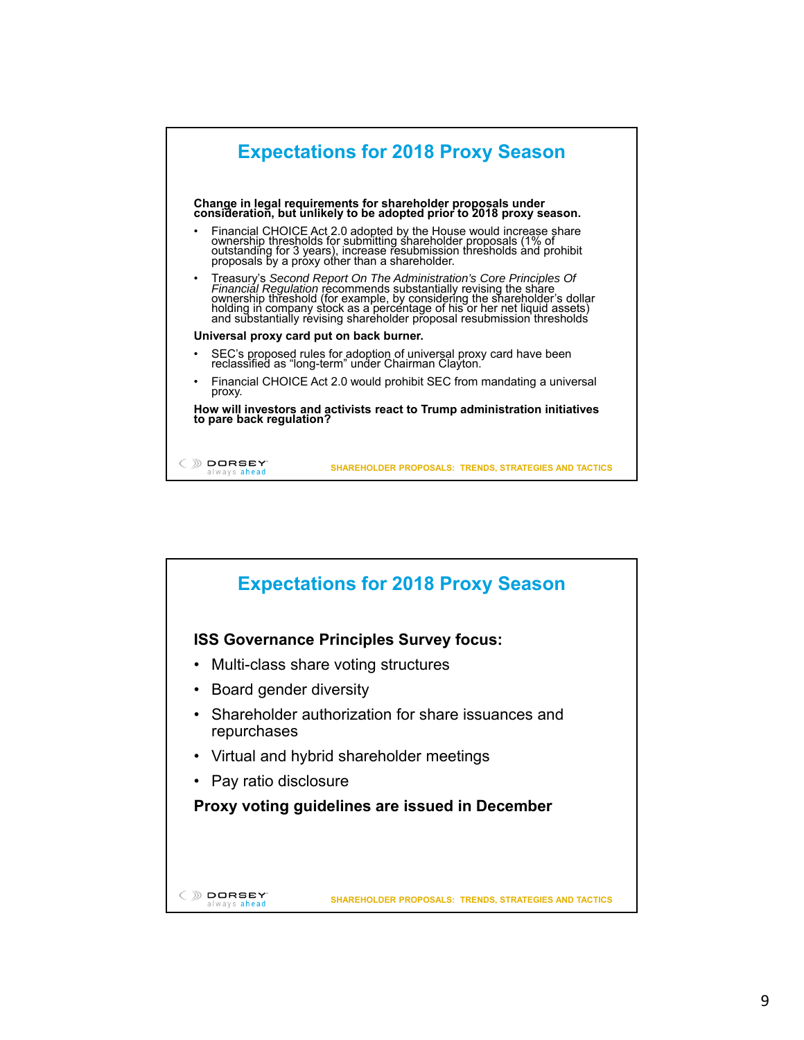

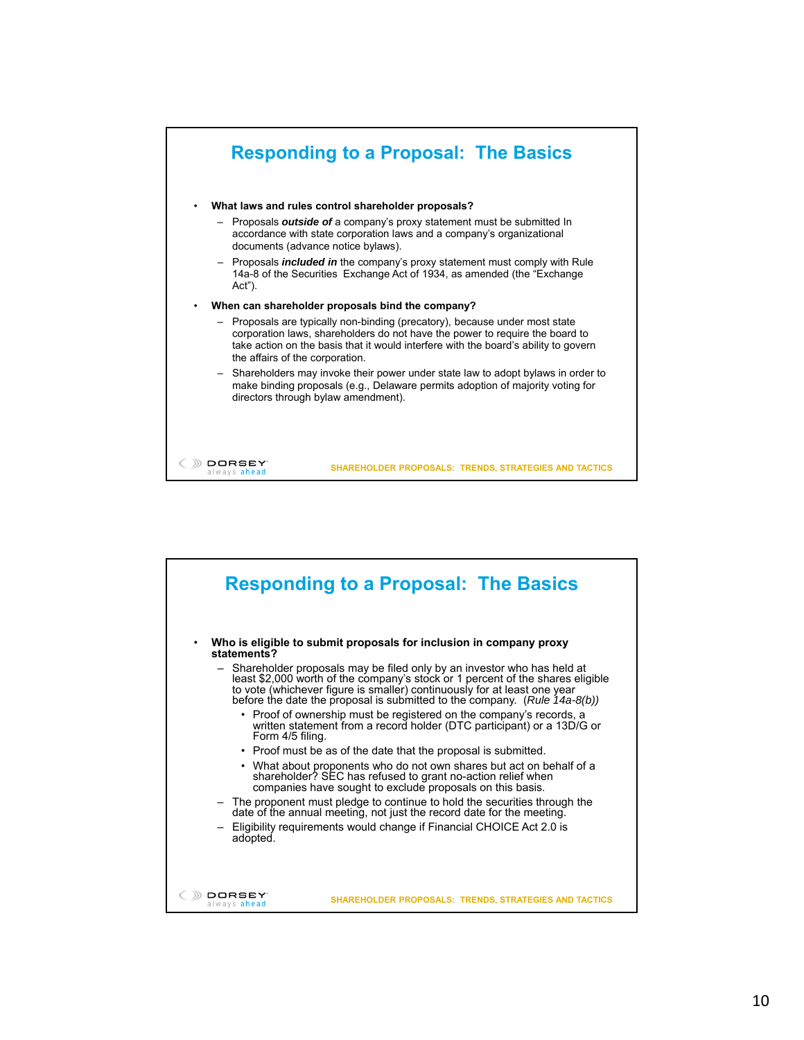

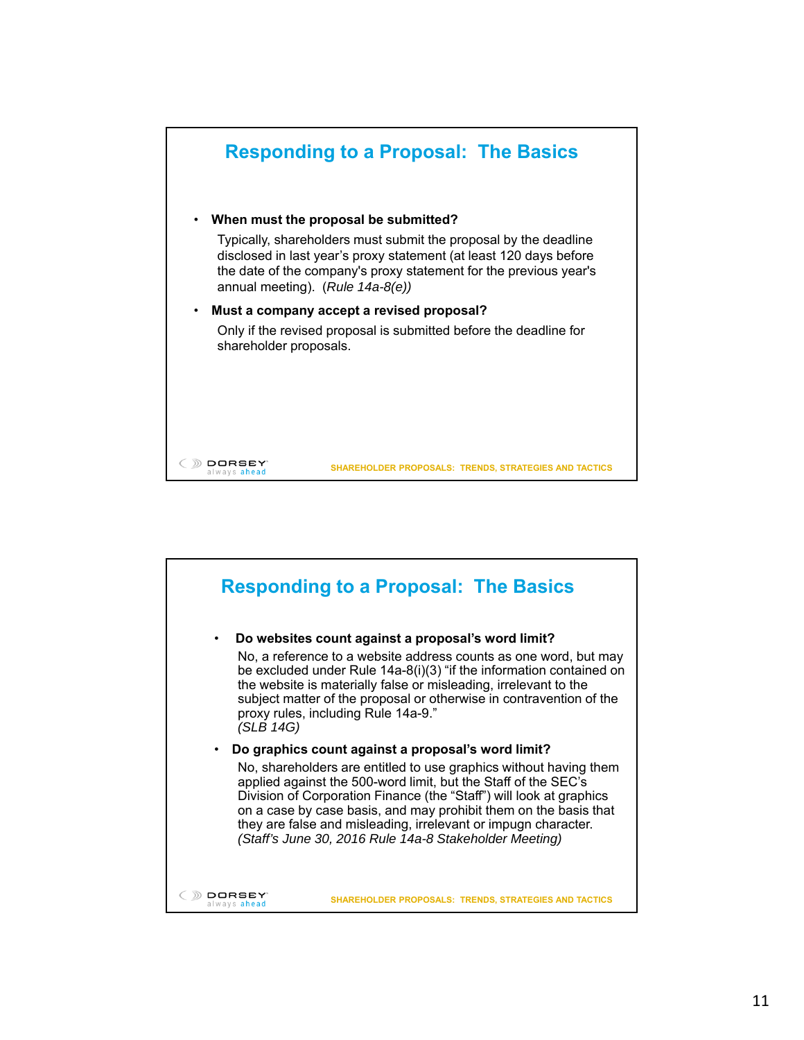

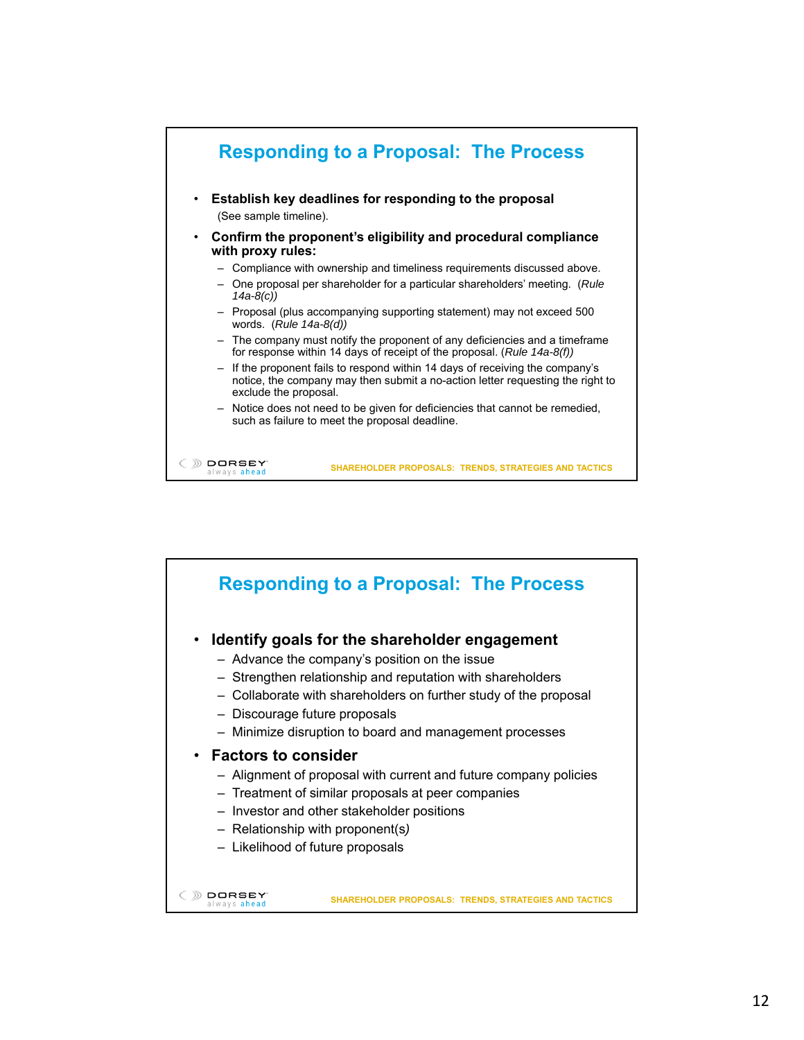

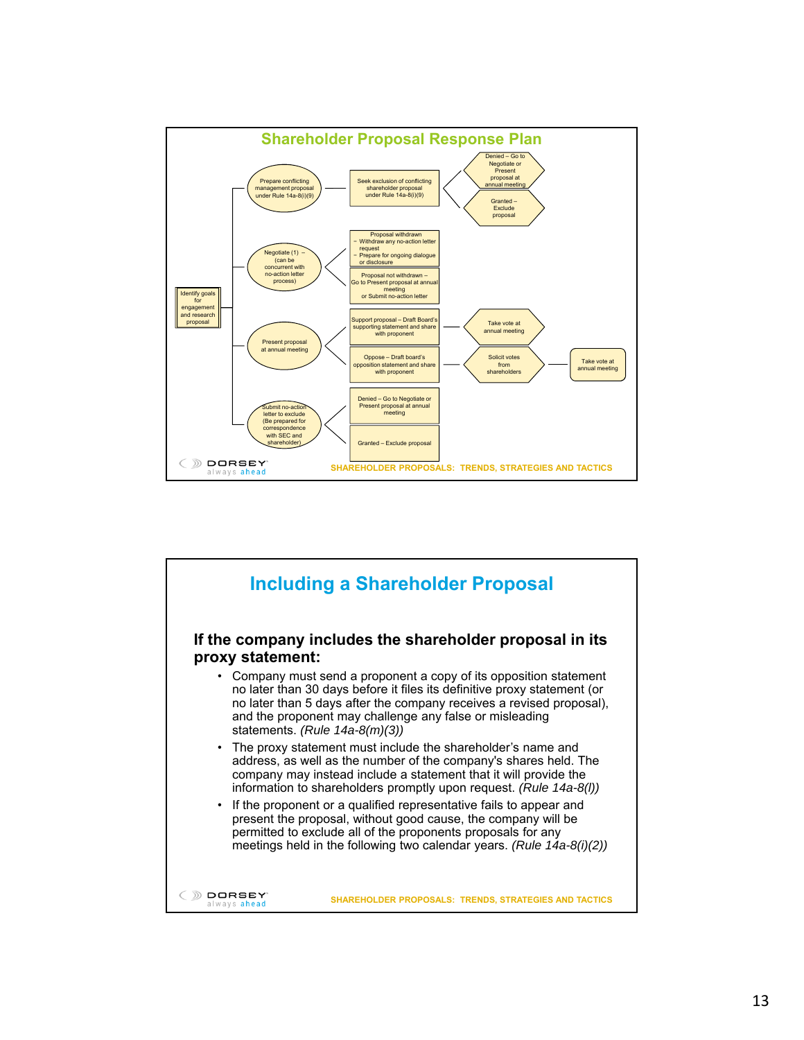

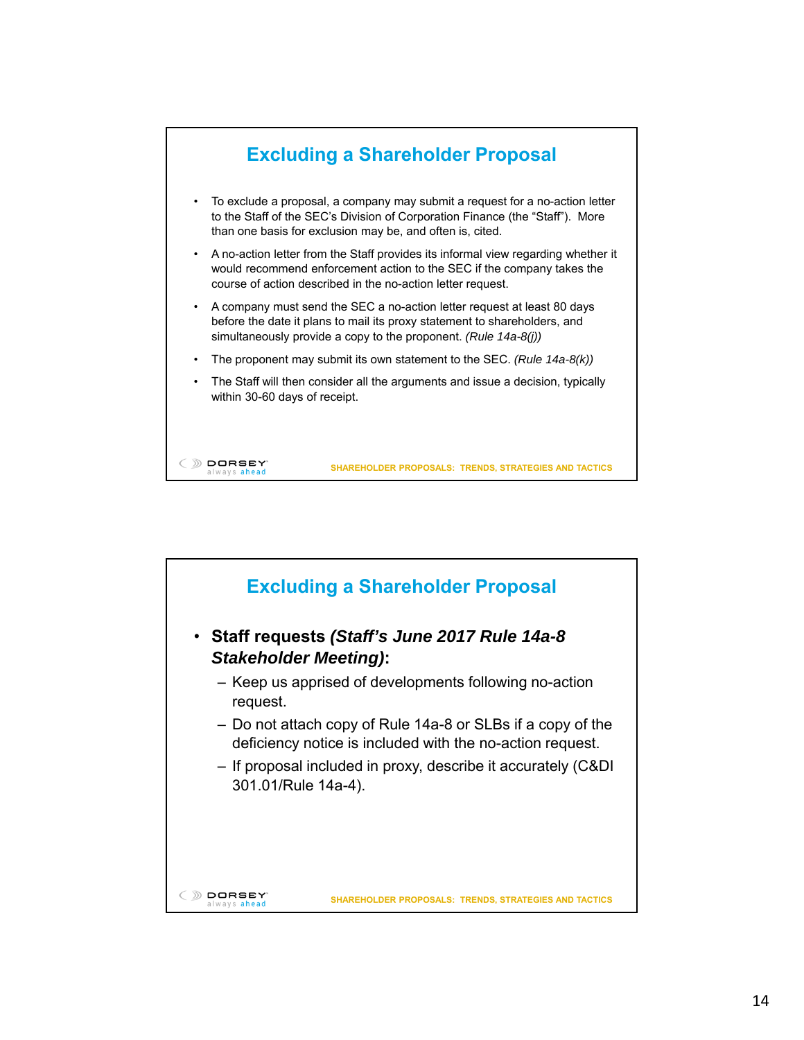

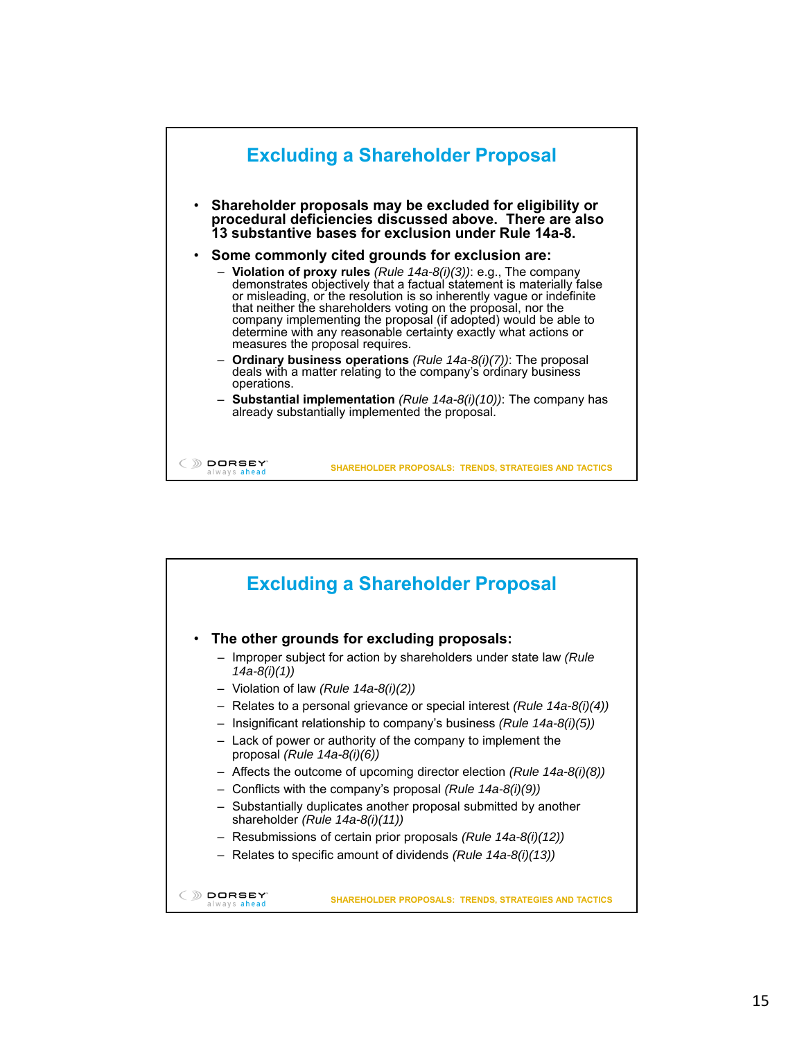

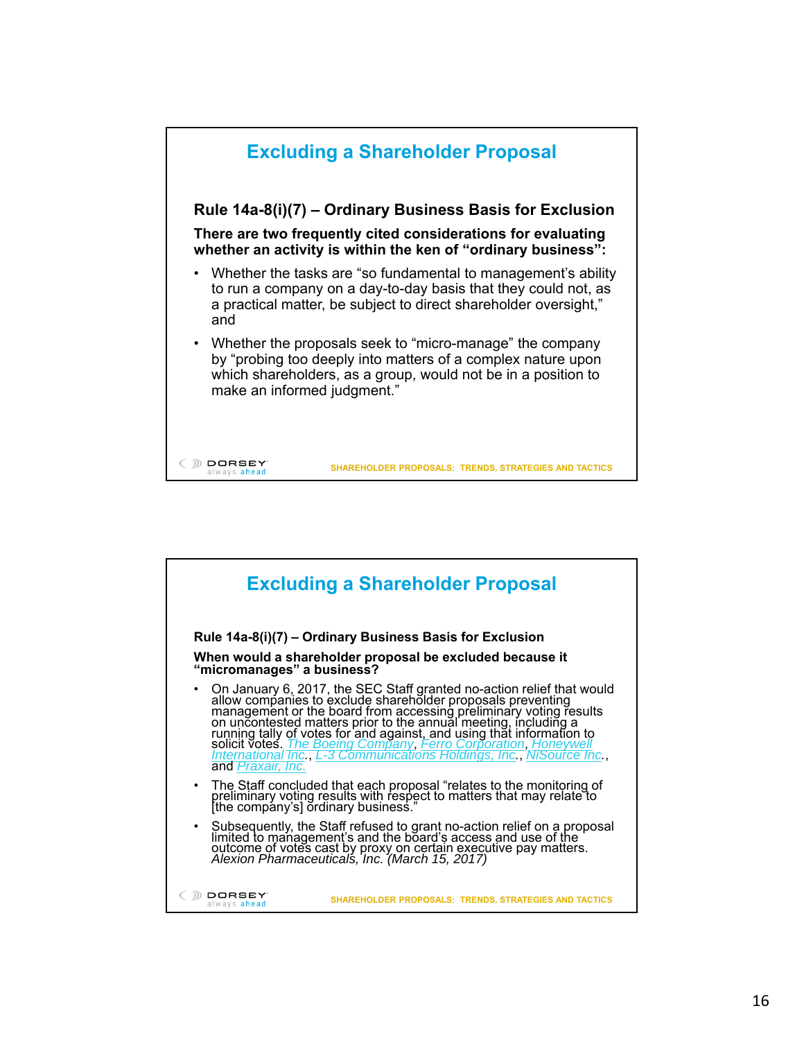

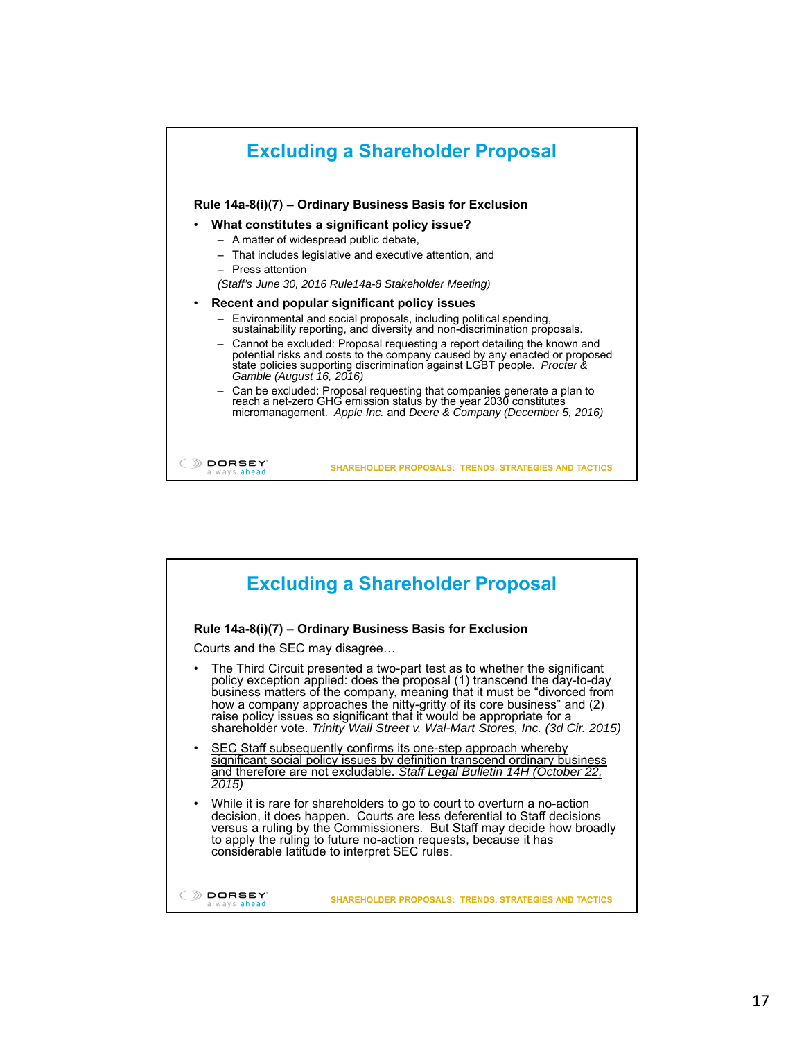

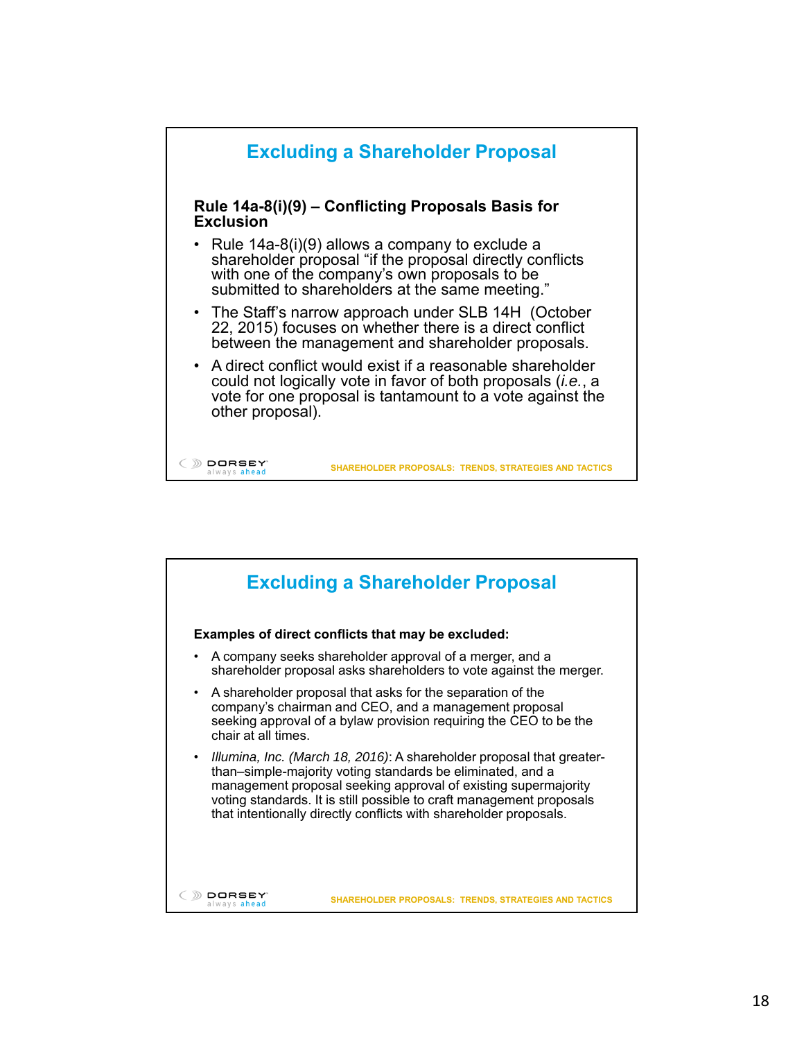

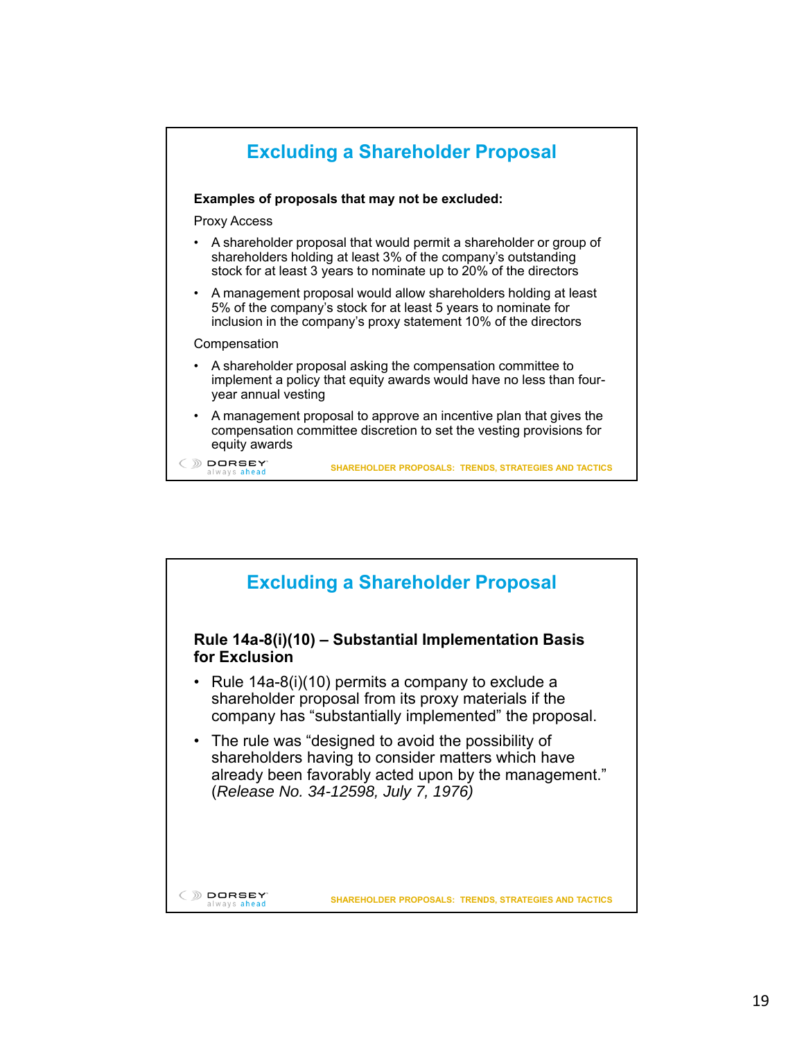